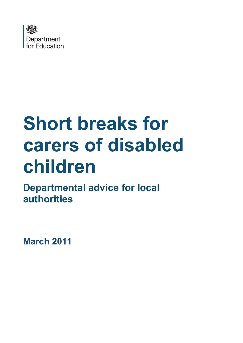

# **Short breaks for carers of disabled children**

**Departmental advice for local authorities**

**March 2011**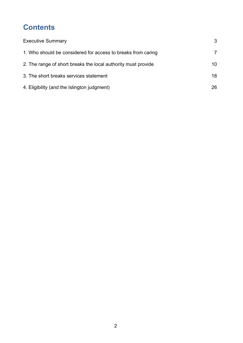# **Contents**

| <b>Executive Summary</b>                                      | 3  |
|---------------------------------------------------------------|----|
| 1. Who should be considered for access to breaks from caring  |    |
| 2. The range of short breaks the local authority must provide | 10 |
| 3. The short breaks services statement                        | 18 |
| 4. Eligibility (and the Islington judgment)                   | 26 |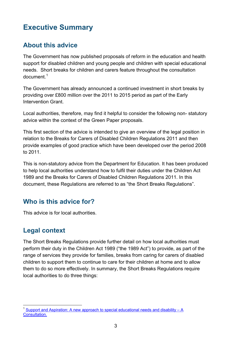# <span id="page-2-0"></span>**Executive Summary**

# **About this advice**

The Government has now published proposals of reform in the education and health support for disabled children and young people and children with special educational needs. Short breaks for children and carers feature throughout the consultation  $d$ ocument $<sup>1</sup>$  $<sup>1</sup>$  $<sup>1</sup>$ </sup>

The Government has already announced a continued investment in short breaks by providing over £800 million over the 2011 to 2015 period as part of the Early Intervention Grant.

Local authorities, therefore, may find it helpful to consider the following non- statutory advice within the context of the Green Paper proposals.

This first section of the advice is intended to give an overview of the legal position in relation to the Breaks for Carers of Disabled Children Regulations 2011 and then provide examples of good practice which have been developed over the period 2008 to 2011.

This is non-statutory advice from the Department for Education. It has been produced to help local authorities understand how to fulfil their duties under the Children Act 1989 and the Breaks for Carers of Disabled Children Regulations 2011. In this document, these Regulations are referred to as "the Short Breaks Regulations".

# **Who is this advice for?**

This advice is for local authorities.

# **Legal context**

The Short Breaks Regulations provide further detail on how local authorities must perform their duty in the Children Act 1989 ("the 1989 Act") to provide, as part of the range of services they provide for families, breaks from caring for carers of disabled children to support them to continue to care for their children at home and to allow them to do so more effectively. In summary, the Short Breaks Regulations require local authorities to do three things:

<span id="page-2-1"></span>Support and [Aspiration: A new approach to special educational needs and disability –](https://www.gov.uk/government/publications/support-and-aspiration-a-new-approach-to-special-educational-needs-and-disability-consultation) A [Consultation.](https://www.gov.uk/government/publications/support-and-aspiration-a-new-approach-to-special-educational-needs-and-disability-consultation)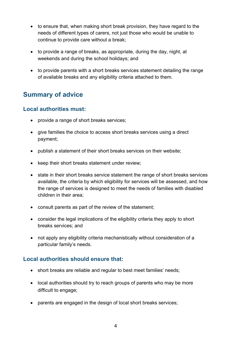- to ensure that, when making short break provision, they have regard to the needs of different types of carers, not just those who would be unable to continue to provide care without a break;
- to provide a range of breaks, as appropriate, during the day, night, at weekends and during the school holidays; and
- to provide parents with a short breaks services statement detailing the range of available breaks and any eligibility criteria attached to them.

# **Summary of advice**

### **Local authorities must:**

- provide a range of short breaks services;
- give families the choice to access short breaks services using a direct payment;
- publish a statement of their short breaks services on their website;
- keep their short breaks statement under review;
- state in their short breaks service statement the range of short breaks services available, the criteria by which eligibility for services will be assessed, and how the range of services is designed to meet the needs of families with disabled children in their area;
- consult parents as part of the review of the statement;
- consider the legal implications of the eligibility criteria they apply to short breaks services; and
- not apply any eligibility criteria mechanistically without consideration of a particular family's needs.

## **Local authorities should ensure that:**

- short breaks are reliable and regular to best meet families' needs;
- local authorities should try to reach groups of parents who may be more difficult to engage;
- parents are engaged in the design of local short breaks services;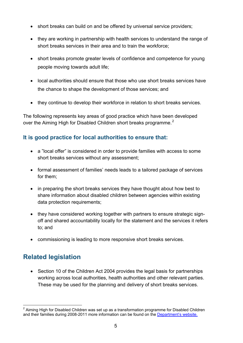- short breaks can build on and be offered by universal service providers;
- they are working in partnership with health services to understand the range of short breaks services in their area and to train the workforce;
- short breaks promote greater levels of confidence and competence for young people moving towards adult life;
- local authorities should ensure that those who use short breaks services have the chance to shape the development of those services; and
- they continue to develop their workforce in relation to short breaks services.

The following represents key areas of good practice which have been developed over the Aiming High for Disabled Children short breaks programme.<sup>[2](#page-4-0)</sup>

## **It is good practice for local authorities to ensure that:**

- a "local offer" is considered in order to provide families with access to some short breaks services without any assessment;
- formal assessment of families' needs leads to a tailored package of services for them;
- in preparing the short breaks services they have thought about how best to share information about disabled children between agencies within existing data protection requirements;
- they have considered working together with partners to ensure strategic signoff and shared accountability locally for the statement and the services it refers to; and
- commissioning is leading to more responsive short breaks services.

# **Related legislation**

• Section 10 of the Children Act 2004 provides the legal basis for partnerships working across local authorities, health authorities and other relevant parties. These may be used for the planning and delivery of short breaks services.

<span id="page-4-0"></span> $2$  Aiming High for Disabled Children was set up as a transformation programme for Disabled Children and their families during 2008-2011 more information can be found on the [Department's website.](http://www.education.gov.uk/childrenandyoungpeople/send/a0070497/parent-participation)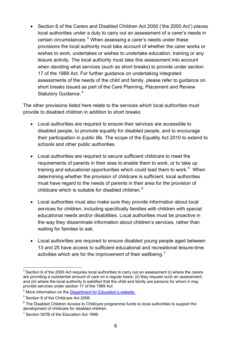• Section 6 of the Carers and Disabled Children Act 2000 ('the 2000 Act') places local authorities under a duty to carry out an assessment of a carer's needs in certain circumstances. [3](#page-5-0) When assessing a carer's needs under these provisions the local authority must take account of whether the carer works or wishes to work, undertakes or wishes to undertake education, training or any leisure activity. The local authority must take this assessment into account when deciding what services (such as short breaks) to provide under section 17 of the 1989 Act. For further guidance on undertaking integrated assessments of the needs of the child and family, please refer to guidance on short breaks issued as part of the Care Planning, Placement and Review Statutory Guidance.<sup>[4](#page-5-1)</sup>

The other provisions listed here relate to the services which local authorities must provide to disabled children in addition to short breaks:

- Local authorities are required to ensure their services are accessible to disabled people, to promote equality for disabled people, and to encourage their participation in public life. The scope of the Equality Act 2010 to extend to schools and other public authorities.
- Local authorities are required to secure sufficient childcare to meet the requirements of parents in their area to enable them to work, or to take up training and educational opportunities which could lead them to work.<sup>5</sup> When determining whether the provision of childcare is sufficient, local authorities must have regard to the needs of parents in their area for the provision of childcare which is suitable for disabled children. [6](#page-5-3)
- Local authorities must also make sure they provide information about local services for children, including specifically families with children with special educational needs and/or disabilities. Local authorities must be proactive in the way they disseminate information about children's services, rather than waiting for families to ask.
- Local authorities are required to ensure disabled young people aged between 13 and 25 have access to sufficient educational and recreational leisure-time activities which are for the improvement of their wellbeing.<sup>[7](#page-5-4)</sup>

<span id="page-5-0"></span> $3$  Section 6 of the 2000 Act requires local authorities to carry out an assessment (i) where the carers are providing a substantial amount of care on a regular basis; (ii) they request such an assessment; and (iii) where the local authority is satisfied that the child and family are persons for whom it may provide services under section 17 of the 1989 Act.

<span id="page-5-1"></span><sup>4</sup> More information on the [Department for Education's website.](http://www.education.gov.uk/childrenandyoungpeople/families/childrenincare/a0065502/care-planning-for-looked-after-children-and-care-leavers)

<span id="page-5-2"></span><sup>5</sup> Section 6 of the Childcare Act 2006.

<span id="page-5-3"></span> $6$  The Disabled Children Access to Childcare programme funds to local authorities to support the development of childcare for disabled children.

<span id="page-5-4"></span><sup>&</sup>lt;sup>7</sup> Section 507B of the Education Act 1996.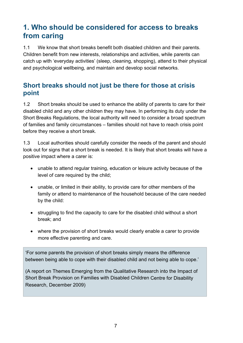# <span id="page-6-0"></span>**1. Who should be considered for access to breaks from caring**

1.1 We know that short breaks benefit both disabled children and their parents. Children benefit from new interests, relationships and activities, while parents can catch up with 'everyday activities' (sleep, cleaning, shopping), attend to their physical and psychological wellbeing, and maintain and develop social networks.

# **Short breaks should not just be there for those at crisis point**

1.2 Short breaks should be used to enhance the ability of parents to care for their disabled child and any other children they may have. In performing its duty under the Short Breaks Regulations, the local authority will need to consider a broad spectrum of families and family circumstances – families should not have to reach crisis point before they receive a short break.

1.3 Local authorities should carefully consider the needs of the parent and should look out for signs that a short break is needed. It is likely that short breaks will have a positive impact where a carer is:

- unable to attend regular training, education or leisure activity because of the level of care required by the child;
- unable, or limited in their ability, to provide care for other members of the family or attend to maintenance of the household because of the care needed by the child:
- struggling to find the capacity to care for the disabled child without a short break; and
- where the provision of short breaks would clearly enable a carer to provide more effective parenting and care.

'For some parents the provision of short breaks simply means the difference between being able to cope with their disabled child and not being able to cope.'

(A report on Themes Emerging from the Qualitative Research into the Impact of Short Break Provision on Families with Disabled Children Centre for Disability Research, December 2009)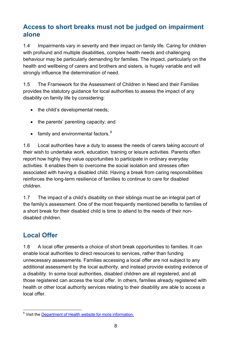# **Access to short breaks must not be judged on impairment alone**

1.4 Impairments vary in severity and their impact on family life. Caring for children with profound and multiple disabilities, complex health needs and challenging behaviour may be particularly demanding for families. The impact, particularly on the health and wellbeing of carers and brothers and sisters, is hugely variable and will strongly influence the determination of need.

1.5 The Framework for the Assessment of Children in Need and their Families provides the statutory guidance for local authorities to assess the impact of any disability on family life by considering:

- the child's developmental needs:
- the parents' parenting capacity; and
- family and environmental factors. $8$

1.6 Local authorities have a duty to assess the needs of carers taking account of their wish to undertake work, education, training or leisure activities. Parents often report how highly they value opportunities to participate in ordinary everyday activities. It enables them to overcome the social isolation and stresses often associated with having a disabled child. Having a break from caring responsibilities reinforces the long-term resilience of families to continue to care for disabled children.

1.7 The impact of a child's disability on their siblings must be an integral part of the family's assessment. One of the most frequently mentioned benefits to families of a short break for their disabled child is time to attend to the needs of their nondisabled children.

# **Local Offer**

1.8 A local offer presents a choice of short break opportunities to families. It can enable local authorities to direct resources to services, rather than funding unnecessary assessments. Families accessing a local offer are not subject to any additional assessment by the local authority, and instead provide existing evidence of a disability. In some local authorities, disabled children are all registered, and all those registered can access the local offer. In others, families already registered with health or other local authority services relating to their disability are able to access a local offer.

<span id="page-7-0"></span><sup>&</sup>lt;sup>8</sup> Visit the [Department of Health website for more information.](http://webarchive.nationalarchives.gov.uk/+/www.dh.gov.uk/en/publicationsandstatistics/publications/publicationspolicyandguidance/dh_4003256)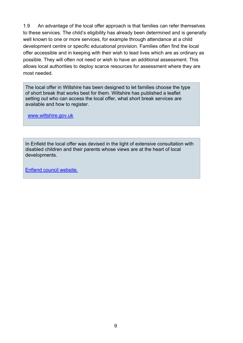1.9 An advantage of the local offer approach is that families can refer themselves to these services. The child's eligibility has already been determined and is generally well known to one or more services, for example through attendance at a child development centre or specific educational provision. Families often find the local offer accessible and in keeping with their wish to lead lives which are as ordinary as possible. They will often not need or wish to have an additional assessment. This allows local authorities to deploy scarce resources for assessment where they are most needed.

The local offer in Wiltshire has been designed to let families choose the type of short break that works best for them. Wiltshire has published a leaflet setting out who can access the local offer, what short break services are available and how to register.

[www.wiltshire.gov.uk](http://www.wiltshire.gov.uk/)

In Enfield the local offer was devised in the light of extensive consultation with disabled children and their parents whose views are at the heart of local developments.

[Enfiend council website.](http://www.enfield.gov.uk/info/200012/children_with_disabilities_and_special_educational%20needs/1050/enfield_joint_service_for_disabled_children)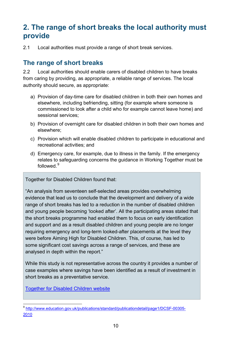# <span id="page-9-0"></span>**2. The range of short breaks the local authority must provide**

2.1 Local authorities must provide a range of short break services.

## **The range of short breaks**

2.2 Local authorities should enable carers of disabled children to have breaks from caring by providing, as appropriate, a reliable range of services. The local authority should secure, as appropriate:

- a) Provision of day-time care for disabled children in both their own homes and elsewhere, including befriending, sitting (for example where someone is commissioned to look after a child who for example cannot leave home) and sessional services;
- b) Provision of overnight care for disabled children in both their own homes and elsewhere;
- c) Provision which will enable disabled children to participate in educational and recreational activities; and
- d) Emergency care, for example, due to illness in the family. If the emergency relates to safeguarding concerns the guidance in Working Together must be followed.<sup>[9](#page-9-1)</sup>

Together for Disabled Children found that:

"An analysis from seventeen self-selected areas provides overwhelming evidence that lead us to conclude that the development and delivery of a wide range of short breaks has led to a reduction in the number of disabled children and young people becoming 'looked after'. All the participating areas stated that the short breaks programme had enabled them to focus on early identification and support and as a result disabled children and young people are no longer requiring emergency and long-term looked-after placements at the level they were before Aiming High for Disabled Children. This, of course, has led to some significant cost savings across a range of services, and these are analysed in depth within the report."

While this study is not representative across the country it provides a number of case examples where savings have been identified as a result of investment in short breaks as a preventative service.

[Together for Disabled Children website](http://webarchive.nationalarchives.gov.uk/20110302114019/togetherfdc.org/default.aspx)

<span id="page-9-1"></span> <sup>9</sup> [http://www.education.gov.uk/publications/standard/publicationdetail/page1/DCSF-00305-](http://www.education.gov.uk/publications/standard/publicationdetail/page1/DCSF-00305-2010) [2010](http://www.education.gov.uk/publications/standard/publicationdetail/page1/DCSF-00305-2010)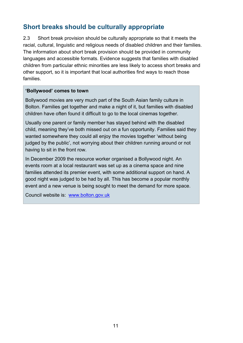# **Short breaks should be culturally appropriate**

2.3 Short break provision should be culturally appropriate so that it meets the racial, cultural, linguistic and religious needs of disabled children and their families. The information about short break provision should be provided in community languages and accessible formats. Evidence suggests that families with disabled children from particular ethnic minorities are less likely to access short breaks and other support, so it is important that local authorities find ways to reach those families.

#### **'Bollywood' comes to town**

Bollywood movies are very much part of the South Asian family culture in Bolton. Families get together and make a night of it, but families with disabled children have often found it difficult to go to the local cinemas together.

Usually one parent or family member has stayed behind with the disabled child, meaning they've both missed out on a fun opportunity. Families said they wanted somewhere they could all enjoy the movies together 'without being judged by the public', not worrying about their children running around or not having to sit in the front row.

In December 2009 the resource worker organised a Bollywood night. An events room at a local restaurant was set up as a cinema space and nine families attended its premier event, with some additional support on hand. A good night was judged to be had by all. This has become a popular monthly event and a new venue is being sought to meet the demand for more space.

Council website is: [www.bolton.gov.uk](http://www.bolton.gov.uk/)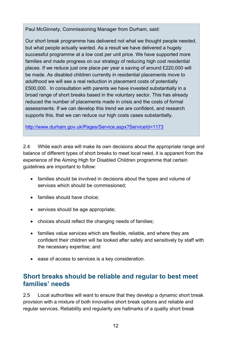Paul McGinnety, Commissioning Manager from Durham, said:

Our short break programme has delivered not what we thought people needed, but what people actually wanted. As a result we have delivered a hugely successful programme at a low cost per unit price. We have supported more families and made progress on our strategy of reducing high cost residential places. If we reduce just one place per year a saving of around £220,000 will be made. As disabled children currently in residential placements move to adulthood we will see a real reduction in placement costs of potentially £500,000. In consultation with parents we have invested substantially in a broad range of short breaks based in the voluntary sector. This has already reduced the number of placements made in crisis and the costs of formal assessments. If we can develop this trend we are confident, and research supports this, that we can reduce our high costs cases substantially.

<http://www.durham.gov.uk/Pages/Service.aspx?ServiceId=1173>

2.4 While each area will make its own decisions about the appropriate range and balance of different types of short breaks to meet local need, it is apparent from the experience of the Aiming High for Disabled Children programme that certain guidelines are important to follow:

- families should be involved in decisions about the types and volume of services which should be commissioned;
- families should have choice;
- services should be age appropriate;
- choices should reflect the changing needs of families;
- families value services which are flexible, reliable, and where they are confident their children will be looked after safely and sensitively by staff with the necessary expertise; and
- ease of access to services is a key consideration.

# **Short breaks should be reliable and regular to best meet families' needs**

2.5 Local authorities will want to ensure that they develop a dynamic short break provision with a mixture of both innovative short break options and reliable and regular services. Reliability and regularity are hallmarks of a quality short break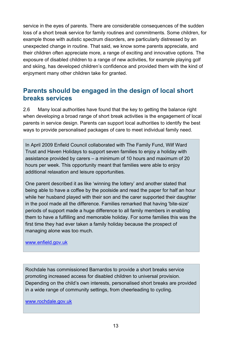service in the eyes of parents. There are considerable consequences of the sudden loss of a short break service for family routines and commitments. Some children, for example those with autistic spectrum disorders, are particularly distressed by an unexpected change in routine. That said, we know some parents appreciate, and their children often appreciate more, a range of exciting and innovative options. The exposure of disabled children to a range of new activities, for example playing golf and skiing, has developed children's confidence and provided them with the kind of enjoyment many other children take for granted.

# **Parents should be engaged in the design of local short breaks services**

2.6 Many local authorities have found that the key to getting the balance right when developing a broad range of short break activities is the engagement of local parents in service design. Parents can support local authorities to identify the best ways to provide personalised packages of care to meet individual family need.

In April 2009 Enfield Council collaborated with The Family Fund, Wilf Ward Trust and Haven Holidays to support seven families to enjoy a holiday with assistance provided by carers – a minimum of 10 hours and maximum of 20 hours per week. This opportunity meant that families were able to enjoy additional relaxation and leisure opportunities.

One parent described it as like 'winning the lottery' and another stated that being able to have a coffee by the poolside and read the paper for half an hour while her husband played with their son and the carer supported their daughter in the pool made all the difference. Families remarked that having 'bite-size' periods of support made a huge difference to all family members in enabling them to have a fulfilling and memorable holiday. For some families this was the first time they had ever taken a family holiday because the prospect of managing alone was too much.

#### [www.enfield.gov.uk](http://www.enfield.gov.uk/)

Rochdale has commissioned Barnardos to provide a short breaks service promoting increased access for disabled children to universal provision. Depending on the child's own interests, personalised short breaks are provided in a wide range of community settings, from cheerleading to cycling.

[www.rochdale.gov.uk](http://www.rochdale.gov.uk/)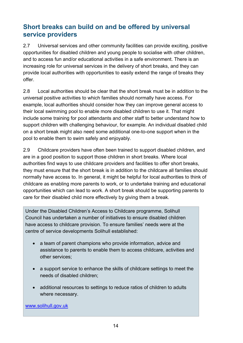# **Short breaks can build on and be offered by universal service providers**

2.7 Universal services and other community facilities can provide exciting, positive opportunities for disabled children and young people to socialise with other children, and to access fun and/or educational activities in a safe environment. There is an increasing role for universal services in the delivery of short breaks, and they can provide local authorities with opportunities to easily extend the range of breaks they offer.

2.8 Local authorities should be clear that the short break must be in addition to the universal positive activities to which families should normally have access. For example, local authorities should consider how they can improve general access to their local swimming pool to enable more disabled children to use it. That might include some training for pool attendants and other staff to better understand how to support children with challenging behaviour, for example. An individual disabled child on a short break might also need some additional one-to-one support when in the pool to enable them to swim safely and enjoyably.

2.9 Childcare providers have often been trained to support disabled children, and are in a good position to support those children in short breaks. Where local authorities find ways to use childcare providers and facilities to offer short breaks, they must ensure that the short break is in addition to the childcare all families should normally have access to. In general, it might be helpful for local authorities to think of childcare as enabling more parents to work, or to undertake training and educational opportunities which can lead to work. A short break should be supporting parents to care for their disabled child more effectively by giving them a break.

Under the Disabled Children's Access to Childcare programme, Solihull Council has undertaken a number of initiatives to ensure disabled children have access to childcare provision. To ensure families' needs were at the centre of service developments Solihull established:

- a team of parent champions who provide information, advice and assistance to parents to enable them to access childcare, activities and other services;
- a support service to enhance the skills of childcare settings to meet the needs of disabled children;
- additional resources to settings to reduce ratios of children to adults where necessary.

www.solihull.gov.uk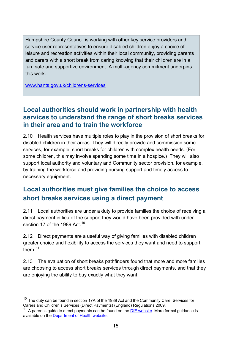Hampshire County Council is working with other key service providers and service user representatives to ensure disabled children enjoy a choice of leisure and recreation activities within their local community, providing parents and carers with a short break from caring knowing that their children are in a fun, safe and supportive environment. A multi-agency commitment underpins this work.

[www.hants.gov.uk/childrens-services](http://www.hants.gov.uk/childrens-services/)

# **Local authorities should work in partnership with health services to understand the range of short breaks services in their area and to train the workforce**

2.10 Health services have multiple roles to play in the provision of short breaks for disabled children in their areas. They will directly provide and commission some services, for example, short breaks for children with complex health needs. (For some children, this may involve spending some time in a hospice.) They will also support local authority and voluntary and Community sector provision, for example, by training the workforce and providing nursing support and timely access to necessary equipment.

# **Local authorities must give families the choice to access short breaks services using a direct payment**

2.11 Local authorities are under a duty to provide families the choice of receiving a direct payment in lieu of the support they would have been provided with under section 17 of the 1989 Act.<sup>[10](#page-14-0)</sup>

2.12 Direct payments are a useful way of giving families with disabled children greater choice and flexibility to access the services they want and need to support them. [11](#page-14-1)

2.13 The evaluation of short breaks pathfinders found that more and more families are choosing to access short breaks services through direct payments, and that they are enjoying the ability to buy exactly what they want.

<span id="page-14-0"></span> $10$  The duty can be found in section 17A of the 1989 Act and the Community Care, Services for Carers and Children's Services (Direct Payments) (England) Regulations 2009.

<span id="page-14-1"></span><sup>11</sup> A parent's guide to direct payments can be found on the [DfE website.](http://webarchive.nationalarchives.gov.uk/20130401151715/https:/www.education.gov.uk/publications/standard/publicationDetail/Page1/DFES-0202-2006) More formal guidance is available on the [Department of Health website.](http://webarchive.nationalarchives.gov.uk/+/www.dh.gov.uk/en/Publicationsandstatistics/Publications/Publicationspolicyandguidance/DH_104840)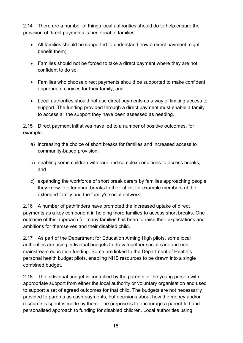2.14 There are a number of things local authorities should do to help ensure the provision of direct payments is beneficial to families:

- All families should be supported to understand how a direct payment might benefit them;
- Families should not be forced to take a direct payment where they are not confident to do so;
- Families who choose direct payments should be supported to make confident appropriate choices for their family; and
- Local authorities should not use direct payments as a way of limiting access to support. The funding provided through a direct payment must enable a family to access all the support they have been assessed as needing.

2.15 Direct payment initiatives have led to a number of positive outcomes, for example:

- a) increasing the choice of short breaks for families and increased access to community-based provision;
- b) enabling some children with rare and complex conditions to access breaks; and
- c) expanding the workforce of short break carers by families approaching people they know to offer short breaks to their child; for example members of the extended family and the family's social network.

2.16 A number of pathfinders have promoted the increased uptake of direct payments as a key component in helping more families to access short breaks. One outcome of this approach for many families has been to raise their expectations and ambitions for themselves and their disabled child.

2.17 As part of the Department for Education Aiming High pilots, some local authorities are using individual budgets to draw together social care and nonmainstream education funding. Some are linked to the Department of Health's personal health budget pilots, enabling NHS resources to be drawn into a single combined budget.

2.18 The individual budget is controlled by the parents or the young person with appropriate support from either the local authority or voluntary organisation and used to support a set of agreed outcomes for that child. The budgets are not necessarily provided to parents as cash payments, but decisions about how the money and/or resource is spent is made by them. The purpose is to encourage a parent-led and personalised approach to funding for disabled children. Local authorities using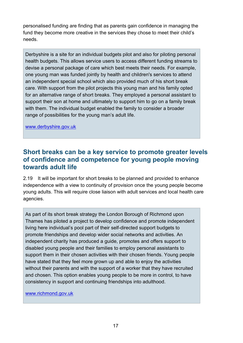personalised funding are finding that as parents gain confidence in managing the fund they become more creative in the services they chose to meet their child's needs.

Derbyshire is a site for an individual budgets pilot and also for piloting personal health budgets. This allows service users to access different funding streams to devise a personal package of care which best meets their needs. For example, one young man was funded jointly by health and children's services to attend an independent special school which also provided much of his short break care. With support from the pilot projects this young man and his family opted for an alternative range of short breaks. They employed a personal assistant to support their son at home and ultimately to support him to go on a family break with them. The individual budget enabled the family to consider a broader range of possibilities for the young man's adult life.

[www.derbyshire.gov.uk](http://www.derbyshire.gov.uk/)

# **Short breaks can be a key service to promote greater levels of confidence and competence for young people moving towards adult life**

2.19 It will be important for short breaks to be planned and provided to enhance independence with a view to continuity of provision once the young people become young adults. This will require close liaison with adult services and local health care agencies.

As part of its short break strategy the London Borough of Richmond upon Thames has piloted a project to develop confidence and promote independent living here individual's pool part of their self-directed support budgets to promote friendships and develop wider social networks and activities. An independent charity has produced a guide, promotes and offers support to disabled young people and their families to employ personal assistants to support them in their chosen activities with their chosen friends. Young people have stated that they feel more grown up and able to enjoy the activities without their parents and with the support of a worker that they have recruited and chosen. This option enables young people to be more in control, to have consistency in support and continuing friendships into adulthood.

[www.richmond.gov.uk](http://www.richmond.gov.uk/)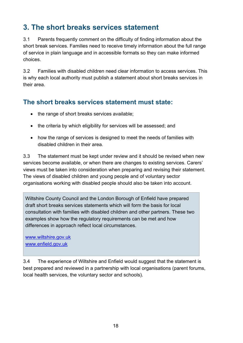# <span id="page-17-0"></span>**3. The short breaks services statement**

3.1 Parents frequently comment on the difficulty of finding information about the short break services. Families need to receive timely information about the full range of service in plain language and in accessible formats so they can make informed choices.

3.2 Families with disabled children need clear information to access services. This is why each local authority must publish a statement about short breaks services in their area.

# **The short breaks services statement must state:**

- the range of short breaks services available:
- the criteria by which eligibility for services will be assessed; and
- how the range of services is designed to meet the needs of families with disabled children in their area.

3.3 The statement must be kept under review and it should be revised when new services become available, or when there are changes to existing services. Carers' views must be taken into consideration when preparing and revising their statement. The views of disabled children and young people and of voluntary sector organisations working with disabled people should also be taken into account.

Wiltshire County Council and the London Borough of Enfield have prepared draft short breaks services statements which will form the basis for local consultation with families with disabled children and other partners. These two examples show how the regulatory requirements can be met and how differences in approach reflect local circumstances.

[www.wiltshire.gov.uk](http://www.wiltshire.gov.uk/) [www.enfield.gov.uk](http://www.enfield.gov.uk/)

3.4 The experience of Wiltshire and Enfield would suggest that the statement is best prepared and reviewed in a partnership with local organisations (parent forums, local health services, the voluntary sector and schools).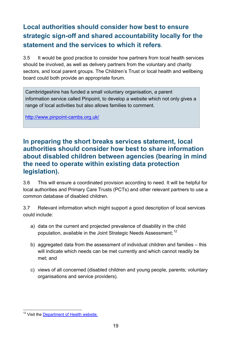# **Local authorities should consider how best to ensure strategic sign-off and shared accountability locally for the statement and the services to which it refers**.

3.5 It would be good practice to consider how partners from local health services should be involved, as well as delivery partners from the voluntary and charity sectors, and local parent groups. The Children's Trust or local health and wellbeing board could both provide an appropriate forum.

Cambridgeshire has funded a small voluntary organisation, a parent information service called Pinpoint, to develop a website which not only gives a range of local activities but also allows families to comment.

<http://www.pinpoint-cambs.org.uk/>

## **In preparing the short breaks services statement, local authorities should consider how best to share information about disabled children between agencies (bearing in mind the need to operate within existing data protection legislation).**

3.6 This will ensure a coordinated provision according to need. It will be helpful for local authorities and Primary Care Trusts (PCTs) and other relevant partners to use a common database of disabled children.

3.7 Relevant information which might support a good description of local services could include:

- a) data on the current and projected prevalence of disability in the child population, available in the Joint Strategic Needs Assessment;<sup>[12](#page-18-0)</sup>
- b) aggregated data from the assessment of individual children and families this will indicate which needs can be met currently and which cannot readily be met; and
- c) views of all concerned (disabled children and young people, parents; voluntary organisations and service providers).

<span id="page-18-0"></span><sup>&</sup>lt;sup>12</sup> Visit the [Department of Health website.](http://healthandcare.dh.gov.uk/jsnas-jhwss-guidance-published/)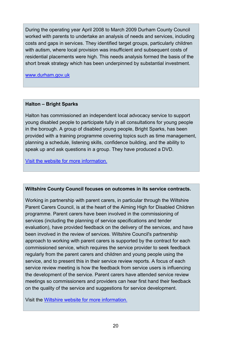During the operating year April 2008 to March 2009 Durham County Council worked with parents to undertake an analysis of needs and services, including costs and gaps in services. They identified target groups, particularly children with autism, where local provision was insufficient and subsequent costs of residential placements were high. This needs analysis formed the basis of the short break strategy which has been underpinned by substantial investment.

[www.durham.gov.uk](http://www.durham.gov.uk/)

#### **Halton – Bright Sparks**

Halton has commissioned an independent local advocacy service to support young disabled people to participate fully in all consultations for young people in the borough. A group of disabled young people, Bright Sparks, has been provided with a training programme covering topics such as time management, planning a schedule, listening skills, confidence building, and the ability to speak up and ask questions in a group. They have produced a DVD.

Visit the website [for more information.](http://www3.halton.gov.uk/healthandsocialcare/childrenandfamilycare/324582/)

#### **Wiltshire County Council focuses on outcomes in its service contracts.**

Working in partnership with parent carers, in particular through the Wiltshire Parent Carers Council, is at the heart of the Aiming High for Disabled Children programme. Parent carers have been involved in the commissioning of services (including the planning of service specifications and tender evaluation), have provided feedback on the delivery of the services, and have been involved in the review of services. Wiltshire Council's partnership approach to working with parent carers is supported by the contract for each commissioned service, which requires the service provider to seek feedback regularly from the parent carers and children and young people using the service, and to present this in their service review reports. A focus of each service review meeting is how the feedback from service users is influencing the development of the service. Parent carers have attended service review meetings so commissioners and providers can hear first hand their feedback on the quality of the service and suggestions for service development.

Visit the [Wiltshire website for more information.](http://www.wiltshire.gov.uk/healthandsocialcare/carers/supportforcarers.htm# Support_for_carers_of_disabled_people)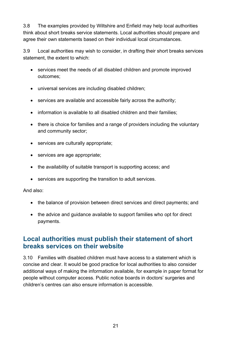3.8 The examples provided by Wiltshire and Enfield may help local authorities think about short breaks service statements. Local authorities should prepare and agree their own statements based on their individual local circumstances.

3.9 Local authorities may wish to consider, in drafting their short breaks services statement, the extent to which:

- services meet the needs of all disabled children and promote improved outcomes;
- universal services are including disabled children;
- services are available and accessible fairly across the authority;
- information is available to all disabled children and their families;
- there is choice for families and a range of providers including the voluntary and community sector;
- services are culturally appropriate;
- services are age appropriate;
- the availability of suitable transport is supporting access; and
- services are supporting the transition to adult services.

And also:

- the balance of provision between direct services and direct payments; and
- the advice and guidance available to support families who opt for direct payments.

# **Local authorities must publish their statement of short breaks services on their website**

3.10 Families with disabled children must have access to a statement which is concise and clear. It would be good practice for local authorities to also consider additional ways of making the information available, for example in paper format for people without computer access. Public notice boards in doctors' surgeries and children's centres can also ensure information is accessible.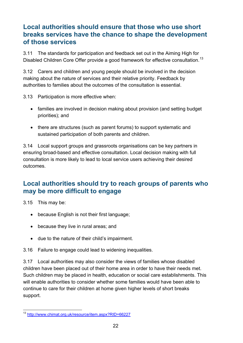# **Local authorities should ensure that those who use short breaks services have the chance to shape the development of those services**

3.11 The standards for participation and feedback set out in the Aiming High for Disabled Children Core Offer provide a good framework for effective consultation.<sup>[13](#page-21-0)</sup>

3.12 Carers and children and young people should be involved in the decision making about the nature of services and their relative priority. Feedback by authorities to families about the outcomes of the consultation is essential.

3.13 Participation is more effective when:

- families are involved in decision making about provision (and setting budget priorities); and
- there are structures (such as parent forums) to support systematic and sustained participation of both parents and children.

3.14 Local support groups and grassroots organisations can be key partners in ensuring broad-based and effective consultation. Local decision making with full consultation is more likely to lead to local service users achieving their desired outcomes.

# **Local authorities should try to reach groups of parents who may be more difficult to engage**

3.15 This may be:

- because English is not their first language;
- because they live in rural areas; and
- due to the nature of their child's impairment.

3.16 Failure to engage could lead to widening inequalities.

3.17 Local authorities may also consider the views of families whose disabled children have been placed out of their home area in order to have their needs met. Such children may be placed in health, education or social care establishments. This will enable authorities to consider whether some families would have been able to continue to care for their children at home given higher levels of short breaks support.

<span id="page-21-0"></span> <sup>13</sup> <http://www.chimat.org.uk/resource/item.aspx?RID=66227>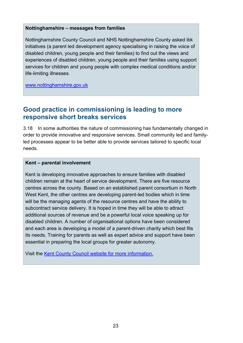#### **Nottinghamshire – [messages from families](http://www.togetherfdc.org/SupportDocuments/Nottinghamshire_messages_from_families.doc)**

Nottinghamshire County Council and NHS Nottinghamshire County asked ibk initiatives (a parent led development agency specialising in raising the voice of disabled children, young people and their families) to find out the views and experiences of disabled children, young people and their families using support services for children and young people with complex medical conditions and/or life-limiting illnesses.

[www.nottinghamshire.gov.uk](http://www.nottinghamshire.gov.uk/)

## **Good practice in commissioning is leading to more responsive short breaks services**

3.18 In some authorities the nature of commissioning has fundamentally changed in order to provide innovative and responsive services. Small community led and familyled processes appear to be better able to provide services tailored to specific local needs.

#### **Kent – parental involvement**

Kent is developing innovative approaches to ensure families with disabled children remain at the heart of service development. There are five resource centres across the county. Based on an established parent consortium in North West Kent, the other centres are developing parent-led bodies which in time will be the managing agents of the resource centres and have the ability to subcontract service delivery. It is hoped in time they will be able to attract additional sources of revenue and be a powerful local voice speaking up for disabled children. A number of organisational options have been considered and each area is developing a model of a parent-driven charity which best fits its needs. Training for parents as well as expert advice and support have been essential in preparing the local groups for greater autonomy.

Visit the [Kent County Council website for more information.](http://www.kent.gov.uk/childrens_social_services/disabled_children/resource_directories.aspx)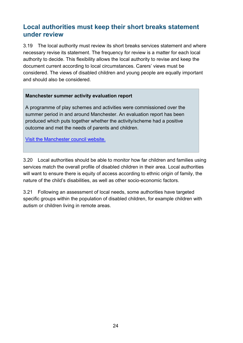# **Local authorities must keep their short breaks statement under review**

3.19 The local authority must review its short breaks services statement and where necessary revise its statement. The frequency for review is a matter for each local authority to decide. This flexibility allows the local authority to revise and keep the document current according to local circumstances. Carers' views must be considered. The views of disabled children and young people are equally important and should also be considered.

#### **[Manchester summer activity](http://www.togetherfdc.org/SupportDocuments/ManchesterSummerActivityEvaluationReport.pdf) evaluation report**

A programme of play schemes and activities were commissioned over the summer period in and around Manchester. An evaluation report has been produced which puts together whether the activity/scheme had a positive outcome and met the needs of parents and children.

[Visit the Manchester council website.](http://www.manchester.gov.uk/info/200016/children_and_childcare/1484/short_breaks_for_carers_of_disabled_children)

3.20 Local authorities should be able to monitor how far children and families using services match the overall profile of disabled children in their area. Local authorities will want to ensure there is equity of access according to ethnic origin of family, the nature of the child's disabilities, as well as other socio-economic factors.

3.21 Following an assessment of local needs, some authorities have targeted specific groups within the population of disabled children, for example children with autism or children living in remote areas.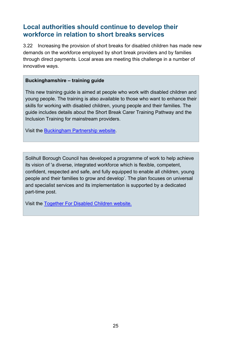# **Local authorities should continue to develop their workforce in relation to short breaks services**

3.22 Increasing the provision of short breaks for disabled children has made new demands on the workforce employed by short break providers and by families through direct payments. Local areas are meeting this challenge in a number of innovative ways.

#### **[Buckinghamshire –](http://www.togetherfdc.org/SupportDocuments/Buckinghamshire%20-%20Training%20Guide.pdf) training guide**

This new training guide is aimed at people who work with disabled children and young people. The training is also available to those who want to enhance their skills for working with disabled children, young people and their families. The guide includes details about the Short Break Carer Training Pathway and the Inclusion Training for mainstream providers.

Visit the [Buckingham Partnership website.](http://www.buckinghamshirepartnership.gov.uk/children-and-young-peoples-partnership/strategies-and-policies/key-partnership-strategies/short-breaks-for-disabled-children-and-young-people/)

Solihull Borough Council has developed a programme of work to help achieve its vision of 'a diverse, integrated workforce which is flexible, competent, confident, respected and safe, and fully equipped to enable all children, young people and their families to grow and develop'. The plan focuses on universal and specialist services and its implementation is supported by a dedicated part-time post.

Visit the [Together For Disabled Children website.](http://webarchive.nationalarchives.gov.uk/20110302114019/http:/www.togetherfdc.org/DCATCHNew/default.aspx)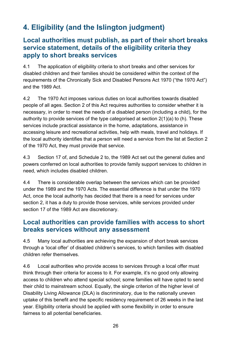# <span id="page-25-0"></span>**4. Eligibility (and the Islington judgment)**

# **Local authorities must publish, as part of their short breaks service statement, details of the eligibility criteria they apply to short breaks services**

4.1 The application of eligibility criteria to short breaks and other services for disabled children and their families should be considered within the context of the requirements of the Chronically Sick and Disabled Persons Act 1970 ("the 1970 Act") and the 1989 Act.

4.2 The 1970 Act imposes various duties on local authorities towards disabled people of all ages. Section 2 of this Act requires authorities to consider whether it is necessary, in order to meet the needs of a disabled person (including a child), for the authority to provide services of the type categorised at section 2(1)(a) to (h). These services include practical assistance in the home, adaptations, assistance in accessing leisure and recreational activities, help with meals, travel and holidays. If the local authority identifies that a person will need a service from the list at Section 2 of the 1970 Act, they must provide that service.

4.3 Section 17 of, and Schedule 2 to, the 1989 Act set out the general duties and powers conferred on local authorities to provide family support services to children in need, which includes disabled children.

4.4 There is considerable overlap between the services which can be provided under the 1989 and the 1970 Acts. The essential difference is that under the 1970 Act, once the local authority has decided that there is a need for services under section 2, it has a duty to provide those services, while services provided under section 17 of the 1989 Act are discretionary.

## **Local authorities can provide families with access to short breaks services without any assessment**

4.5 Many local authorities are achieving the expansion of short break services through a 'local offer' of disabled children's services, to which families with disabled children refer themselves.

4.6 Local authorities who provide access to services through a local offer must think through their criteria for access to it. For example, it's no good only allowing access to children who attend special school; some families will have opted to send their child to mainstream school. Equally, the single criterion of the higher level of Disability Living Allowance (DLA) is discriminatory, due to the nationally uneven uptake of this benefit and the specific residency requirement of 26 weeks in the last year. Eligibility criteria should be applied with some flexibility in order to ensure fairness to all potential beneficiaries.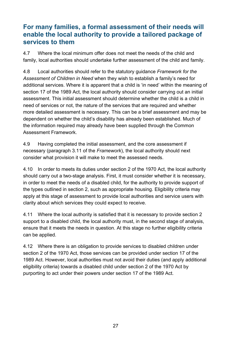# **For many families, a formal assessment of their needs will enable the local authority to provide a tailored package of services to them**

4.7 Where the local minimum offer does not meet the needs of the child and family, local authorities should undertake further assessment of the child and family.

4.8 Local authorities should refer to the statutory guidance *Framework for the Assessment of Children in Need* when they wish to establish a family's need for additional services. Where it is apparent that a child is 'in need' within the meaning of section 17 of the 1989 Act, the local authority should consider carrying out an initial assessment. This initial assessment should determine whether the child is a child in need of services or not, the nature of the services that are required and whether more detailed assessment is necessary. This can be a brief assessment and may be dependent on whether the child's disability has already been established. Much of the information required may already have been supplied through the Common Assessment Framework.

4.9 Having completed the initial assessment, and the core assessment if necessary (paragraph 3.11 of the *Framework*), the local authority should next consider what provision it will make to meet the assessed needs.

4.10 In order to meets its duties under section 2 of the 1970 Act, the local authority should carry out a two-stage analysis. First, it must consider whether it is necessary, in order to meet the needs of a disabled child, for the authority to provide support of the types outlined in section 2, such as appropriate housing. Eligibility criteria may apply at this stage of assessment to provide local authorities and service users with clarity about which services they could expect to receive.

4.11 Where the local authority is satisfied that it is necessary to provide section 2 support to a disabled child, the local authority must, in the second stage of analysis, ensure that it meets the needs in question. At this stage no further eligibility criteria can be applied.

4.12 Where there is an obligation to provide services to disabled children under section 2 of the 1970 Act, those services can be provided under section 17 of the 1989 Act. However, local authorities must not avoid their duties (and apply additional eligibility criteria) towards a disabled child under section 2 of the 1970 Act by purporting to act under their powers under section 17 of the 1989 Act.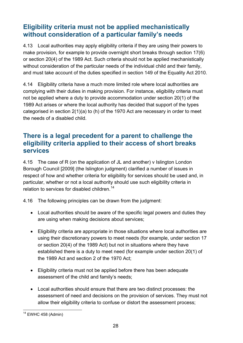# **Eligibility criteria must not be applied mechanistically without consideration of a particular family's needs**

4.13 Local authorities may apply eligibility criteria if they are using their powers to make provision, for example to provide overnight short breaks through section 17(6) or section 20(4) of the 1989 Act. Such criteria should not be applied mechanistically without consideration of the particular needs of the individual child and their family, and must take account of the duties specified in section 149 of the Equality Act 2010.

4.14 Eligibility criteria have a much more limited role where local authorities are complying with their duties in making provision. For instance, eligibility criteria must not be applied where a duty to provide accommodation under section 20(1) of the 1989 Act arises or where the local authority has decided that support of the types categorised in section 2(1)(a) to (h) of the 1970 Act are necessary in order to meet the needs of a disabled child.

# **There is a legal precedent for a parent to challenge the eligibility criteria applied to their access of short breaks services**

4.15 The case of R (on the application of JL and another) v Islington London Borough Council [2009] (the Islington judgment) clarified a number of issues in respect of how and whether criteria for eligibility for services should be used and, in particular, whether or not a local authority should use such eligibility criteria in relation to services for disabled children.<sup>[14](#page-27-0)</sup>

4.16 The following principles can be drawn from the judgment:

- Local authorities should be aware of the specific legal powers and duties they are using when making decisions about services;
- Eligibility criteria are appropriate in those situations where local authorities are using their discretionary powers to meet needs (for example, under section 17 or section 20(4) of the 1989 Act) but not in situations where they have established there is a duty to meet need (for example under section 20(1) of the 1989 Act and section 2 of the 1970 Act;
- Eligibility criteria must not be applied before there has been adequate assessment of the child and family's needs;
- Local authorities should ensure that there are two distinct processes: the assessment of need and decisions on the provision of services. They must not allow their eligibility criteria to confuse or distort the assessment process;

<span id="page-27-0"></span> $14$  EWHC 458 (Admin)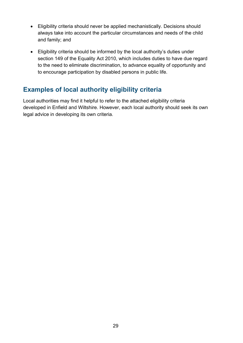- Eligibility criteria should never be applied mechanistically. Decisions should always take into account the particular circumstances and needs of the child and family; and
- Eligibility criteria should be informed by the local authority's duties under section 149 of the Equality Act 2010, which includes duties to have due regard to the need to eliminate discrimination, to advance equality of opportunity and to encourage participation by disabled persons in public life.

# **Examples of local authority eligibility criteria**

Local authorities may find it helpful to refer to the attached eligibility criteria developed in Enfield and Wiltshire. However, each local authority should seek its own legal advice in developing its own criteria.